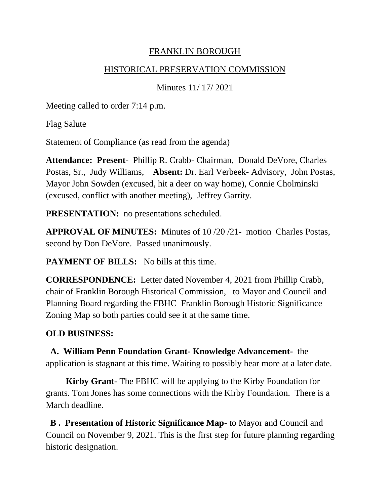## FRANKLIN BOROUGH

#### HISTORICAL PRESERVATION COMMISSION

Minutes 11/ 17/ 2021

Meeting called to order 7:14 p.m.

Flag Salute

Statement of Compliance (as read from the agenda)

**Attendance: Present**- Phillip R. Crabb- Chairman, Donald DeVore, Charles Postas, Sr., Judy Williams, **Absent:** Dr. Earl Verbeek- Advisory, John Postas, Mayor John Sowden (excused, hit a deer on way home), Connie Cholminski (excused, conflict with another meeting), Jeffrey Garrity.

**PRESENTATION:** no presentations scheduled.

**APPROVAL OF MINUTES:** Minutes of 10 /20 /21- motion Charles Postas, second by Don DeVore. Passed unanimously.

**PAYMENT OF BILLS:** No bills at this time.

**CORRESPONDENCE:** Letter dated November 4, 2021 from Phillip Crabb, chair of Franklin Borough Historical Commission, to Mayor and Council and Planning Board regarding the FBHC Franklin Borough Historic Significance Zoning Map so both parties could see it at the same time.

# **OLD BUSINESS:**

**A. William Penn Foundation Grant- Knowledge Advancement-** the application is stagnant at this time. Waiting to possibly hear more at a later date.

 **Kirby Grant-** The FBHC will be applying to the Kirby Foundation for grants. Tom Jones has some connections with the Kirby Foundation. There is a March deadline.

**B . Presentation of Historic Significance Map-** to Mayor and Council and Council on November 9, 2021. This is the first step for future planning regarding historic designation.